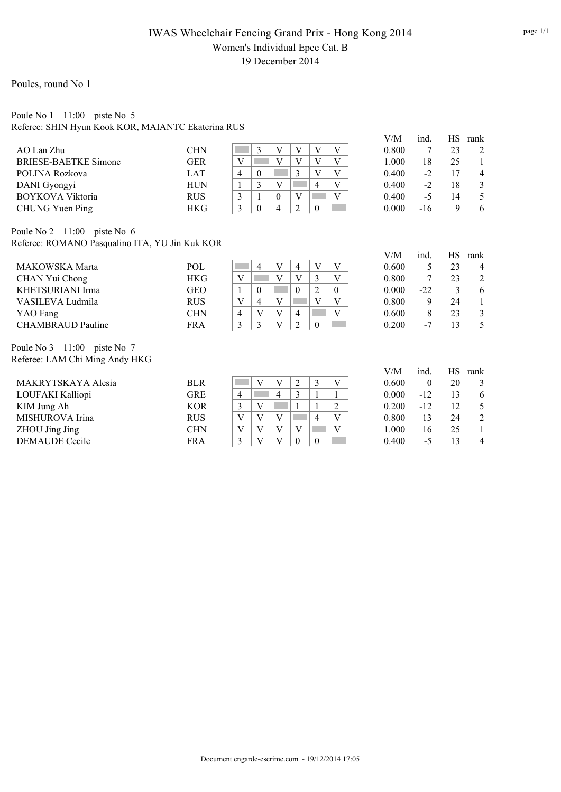# IWAS Wheelchair Fencing Grand Prix - Hong Kong 2014 Women's Individual Epee Cat. B 19 December 2014

### Poules, round No 1

### Poule No 1 11:00 piste No 5 Referee: SHIN Hyun Kook KOR, MAIANTC Ekaterina RUS

|                             |            |   |    |   |          |  | V/M   | ind. | НS | rank         |
|-----------------------------|------------|---|----|---|----------|--|-------|------|----|--------------|
| AO Lan Zhu                  | <b>CHN</b> |   |    |   |          |  | 0.800 |      | 23 |              |
| <b>BRIESE-BAETKE Simone</b> | GER        |   |    |   |          |  | 1.000 | 18   | 25 |              |
| POLINA Rozkova              | LAT        | 4 |    |   |          |  | 0.400 | $-2$ |    | 4            |
| DANI Gyongyi                | <b>HUN</b> |   |    | V | $\Delta$ |  | 0.400 | $-2$ | 18 |              |
| <b>BOYKOVA Viktoria</b>     | <b>RUS</b> |   |    |   |          |  | 0.400 | -5   | 14 |              |
| CHUNG Yuen Ping             | HKG        |   | -0 | 4 | $\theta$ |  | 0.000 | -16  |    | <sub>n</sub> |

Poule No 2 11:00 piste No 6 Referee: ROMANO Pasqualino ITA, YU Jin Kuk KOR

|     | 23                      |
|-----|-------------------------|
|     | $\overline{2}$<br>23    |
|     |                         |
|     | 24                      |
|     | $\mathbf{\Omega}$<br>23 |
| - 1 |                         |
|     | $-22$                   |

| V/M   | ind.  | HS.           | rank |
|-------|-------|---------------|------|
| 0.600 | 5     | 23            | 4    |
| 0.800 | 7     | 23            | 2    |
| 0.000 | $-22$ | $\mathcal{E}$ | 6    |
| 0.800 | 9     | 24            | 1    |
| 0.600 | 8     | 23            | 3    |
| 0.200 | -7    | 13            | 5    |

Poule No 3 11:00 piste No 7 Referee: LAM Chi Ming Andy HKG

| MAKRYTSKAYA Alesia    | BLR        |   |   |          | 0.600 | 0     | 20 | $\mathbf{c}$ |
|-----------------------|------------|---|---|----------|-------|-------|----|--------------|
| LOUFAKI Kalliopi      | GRE        | 4 | 4 |          | 0.000 | $-12$ |    |              |
| KIM Jung Ah           | <b>KOR</b> |   |   |          | 0.200 | $-12$ | 12 |              |
| MISHUROVA Irina       | <b>RUS</b> | V |   | 4        | 0.800 | 13    | 24 | 2            |
| ZHOU Jing Jing        | <b>CHN</b> | V |   |          | 1.000 | 16    | 25 |              |
| <b>DEMAUDE</b> Cecile | <b>FRA</b> |   |   | $\theta$ | 0.400 | -5    |    |              |

| V/M   | ind.  | <b>HS</b> | rank |
|-------|-------|-----------|------|
| 0.600 | 0     | 20        | 3    |
| 0.000 | $-12$ | 13        | 6    |
| 0.200 | -12   | 12        | 5    |
| 0.800 | 13    | 24        | 2    |
| 1.000 | 16    | 25        | 1    |
| 0.400 | -5    | 13        | 4    |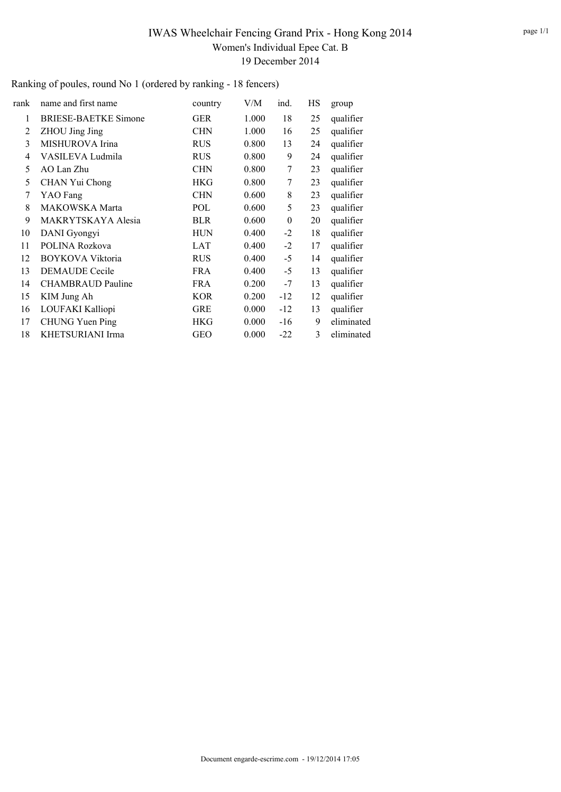# IWAS Wheelchair Fencing Grand Prix - Hong Kong 2014 Women's Individual Epee Cat. B 19 December 2014

Ranking of poules, round No 1 (ordered by ranking - 18 fencers)

| rank | name and first name         | country    | V/M   | ind.     | НS | group      |
|------|-----------------------------|------------|-------|----------|----|------------|
| 1    | <b>BRIESE-BAETKE Simone</b> | <b>GER</b> | 1.000 | 18       | 25 | qualifier  |
| 2    | ZHOU Jing Jing              | <b>CHN</b> | 1.000 | 16       | 25 | qualifier  |
| 3    | MISHUROVA Irina             | <b>RUS</b> | 0.800 | 13       | 24 | qualifier  |
| 4    | VASILEVA Ludmila            | <b>RUS</b> | 0.800 | 9        | 24 | qualifier  |
| 5    | AO Lan Zhu                  | <b>CHN</b> | 0.800 | 7        | 23 | qualifier  |
| 5    | CHAN Yui Chong              | HKG        | 0.800 | 7        | 23 | qualifier  |
| 7    | YAO Fang                    | <b>CHN</b> | 0.600 | 8        | 23 | qualifier  |
| 8    | MAKOWSKA Marta              | POL        | 0.600 | 5        | 23 | qualifier  |
| 9    | MAKRYTSKAYA Alesia          | BLR        | 0.600 | $\theta$ | 20 | qualifier  |
| 10   | DANI Gyongyi                | <b>HUN</b> | 0.400 | $-2$     | 18 | qualifier  |
| 11   | POLINA Rozkova              | <b>LAT</b> | 0.400 | $-2$     | 17 | qualifier  |
| 12   | BOYKOVA Viktoria            | <b>RUS</b> | 0.400 | $-5$     | 14 | qualifier  |
| 13   | <b>DEMAUDE</b> Cecile       | <b>FRA</b> | 0.400 | $-5$     | 13 | qualifier  |
| 14   | <b>CHAMBRAUD Pauline</b>    | <b>FRA</b> | 0.200 | $-7$     | 13 | qualifier  |
| 15   | KIM Jung Ah                 | <b>KOR</b> | 0.200 | $-12$    | 12 | qualifier  |
| 16   | LOUFAKI Kalliopi            | <b>GRE</b> | 0.000 | $-12$    | 13 | qualifier  |
| 17   | <b>CHUNG Yuen Ping</b>      | <b>HKG</b> | 0.000 | -16      | 9  | eliminated |
| 18   | KHETSURIANI Irma            | <b>GEO</b> | 0.000 | $-22$    | 3  | eliminated |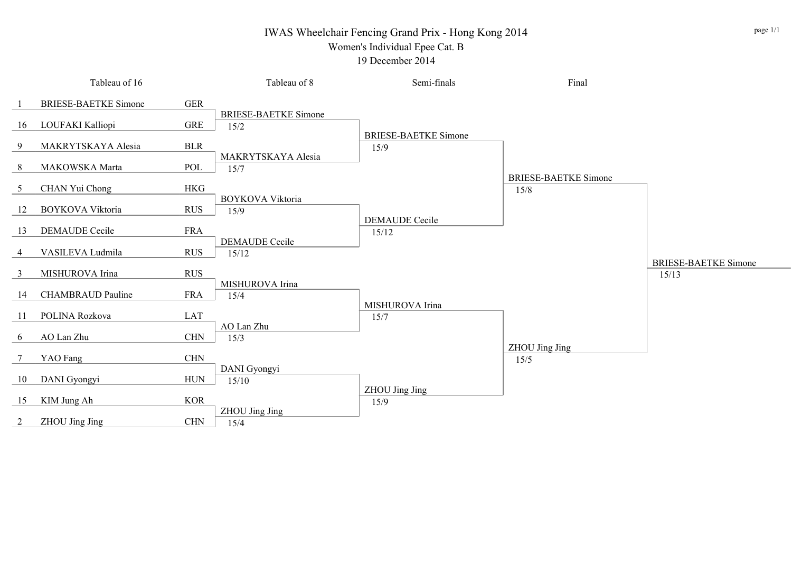## IWAS Wheelchair Fencing Grand Prix - Hong Kong 2014

## Women's Individual Epee Cat. B

#### 19 December 2014